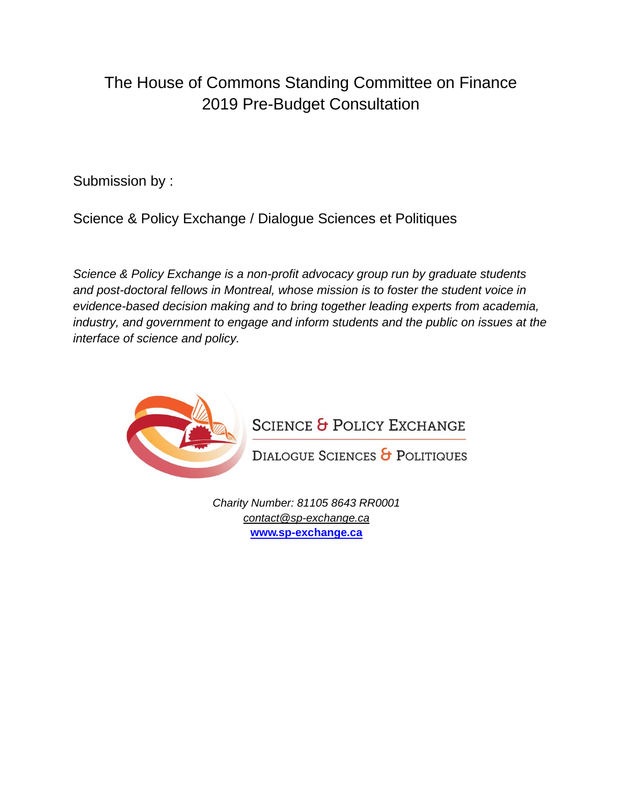# The House of Commons Standing Committee on Finance 2019 Pre-Budget Consultation

Submission by :

Science & Policy Exchange / Dialogue Sciences et Politiques

*Science & Policy Exchange is a non-profit advocacy group run by graduate students and post-doctoral fellows in Montreal, whose mission is to foster the student voice in evidence-based decision making and to bring together leading experts from academia, industry, and government to engage and inform students and the public on issues at the interface of science and policy.* 



**SCIENCE & POLICY EXCHANGE** 

DIALOGUE SCIENCES & POLITIQUES

*Charity Number: 81105 8643 RR0001 [contact@sp-exchange.ca](mailto:contact@sp-exchange.ca%09)* **[www.sp-exchange.ca](http://www.sp-exchange.ca/)**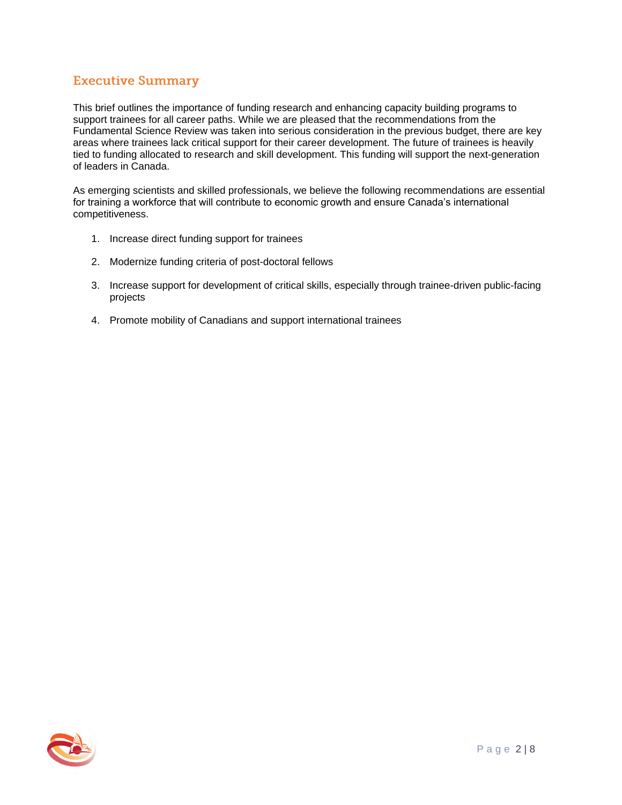## **Executive Summary**

This brief outlines the importance of funding research and enhancing capacity building programs to support trainees for all career paths. While we are pleased that the recommendations from the Fundamental Science Review was taken into serious consideration in the previous budget, there are key areas where trainees lack critical support for their career development. The future of trainees is heavily tied to funding allocated to research and skill development. This funding will support the next-generation of leaders in Canada.

As emerging scientists and skilled professionals, we believe the following recommendations are essential for training a workforce that will contribute to economic growth and ensure Canada's international competitiveness.

- 1. Increase direct funding support for trainees
- 2. Modernize funding criteria of post-doctoral fellows
- 3. Increase support for development of critical skills, especially through trainee-driven public-facing projects
- 4. Promote mobility of Canadians and support international trainees

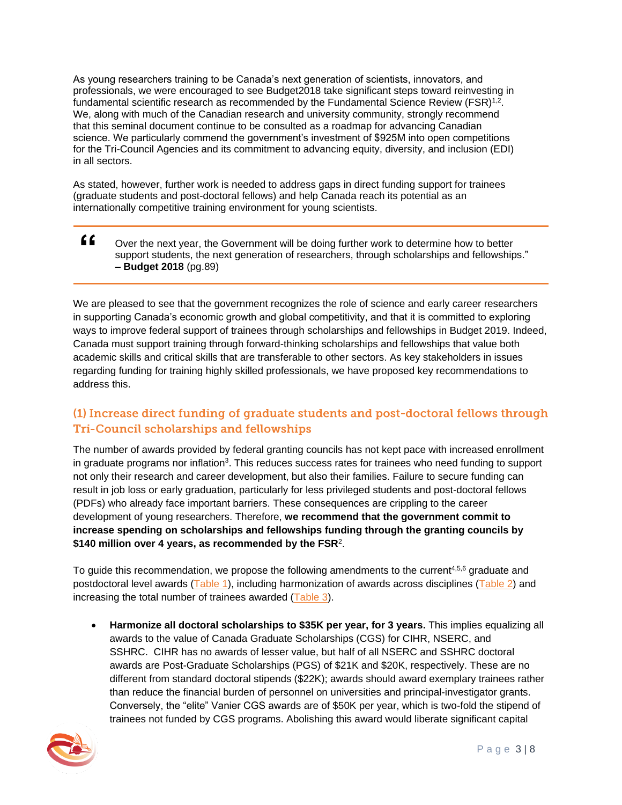As young researchers training to be Canada's next generation of scientists, innovators, and professionals, we were encouraged to see Budget2018 take significant steps toward reinvesting in fundamental scientific research as recommended by the Fundamental Science Review (FSR)<sup>1,2</sup>. We, along with much of the Canadian research and university community, strongly recommend that this seminal document continue to be consulted as a roadmap for advancing Canadian science. We particularly commend the government's investment of \$925M into open competitions for the Tri-Council Agencies and its commitment to advancing equity, diversity, and inclusion (EDI) in all sectors.

As stated, however, further work is needed to address gaps in direct funding support for trainees (graduate students and post-doctoral fellows) and help Canada reach its potential as an internationally competitive training environment for young scientists.

**"** Over the next year, the Government will be doing further work to determine how to better support students, the next generation of researchers, through scholarships and fellowships." **– Budget 2018** (pg.89)

We are pleased to see that the government recognizes the role of science and early career researchers in supporting Canada's economic growth and global competitivity, and that it is committed to exploring ways to improve federal support of trainees through scholarships and fellowships in Budget 2019. Indeed, Canada must support training through forward-thinking scholarships and fellowships that value both academic skills and critical skills that are transferable to other sectors. As key stakeholders in issues regarding funding for training highly skilled professionals, we have proposed key recommendations to address this.

## (1) Increase direct funding of graduate students and post-doctoral fellows through **Tri-Council scholarships and fellowships**

The number of awards provided by federal granting councils has not kept pace with increased enrollment in graduate programs nor inflation<sup>3</sup>. This reduces success rates for trainees who need funding to support not only their research and career development, but also their families. Failure to secure funding can result in job loss or early graduation, particularly for less privileged students and post-doctoral fellows (PDFs) who already face important barriers. These consequences are crippling to the career development of young researchers. Therefore, **we recommend that the government commit to increase spending on scholarships and fellowships funding through the granting councils by \$140 million over 4 years, as recommended by the FSR**<sup>2</sup> .

To guide this recommendation, we propose the following amendments to the current<sup>4,5,6</sup> graduate and postdoctoral level awards (Table 1), including harmonization of awards across disciplines (Table 2) and increasing the total number of trainees awarded (Table 3).

• **Harmonize all doctoral scholarships to \$35K per year, for 3 years.** This implies equalizing all awards to the value of Canada Graduate Scholarships (CGS) for CIHR, NSERC, and SSHRC. CIHR has no awards of lesser value, but half of all NSERC and SSHRC doctoral awards are Post-Graduate Scholarships (PGS) of \$21K and \$20K, respectively. These are no different from standard doctoral stipends (\$22K); awards should award exemplary trainees rather than reduce the financial burden of personnel on universities and principal-investigator grants. Conversely, the "elite" Vanier CGS awards are of \$50K per year, which is two-fold the stipend of trainees not funded by CGS programs. Abolishing this award would liberate significant capital

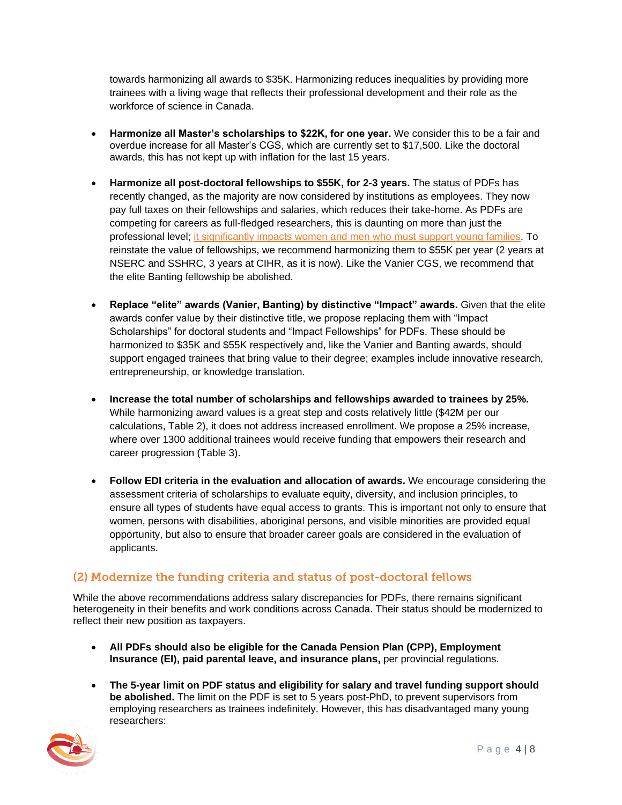towards harmonizing all awards to \$35K. Harmonizing reduces inequalities by providing more trainees with a living wage that reflects their professional development and their role as the workforce of science in Canada.

- **Harmonize all Master's scholarships to \$22K, for one year.** We consider this to be a fair and overdue increase for all Master's CGS, which are currently set to \$17,500. Like the doctoral awards, this has not kept up with inflation for the last 15 years.
- **Harmonize all post-doctoral fellowships to \$55K, for 2-3 years.** The status of PDFs has recently changed, as the majority are now considered by institutions as employees. They now pay full taxes on their fellowships and salaries, which reduces their take-home. As PDFs are competing for careers as full-fledged researchers, this is daunting on more than just the professional level; it significantly impacts women and men who must support young families. To reinstate the value of fellowships, we recommend harmonizing them to \$55K per year (2 years at NSERC and SSHRC, 3 years at CIHR, as it is now). Like the Vanier CGS, we recommend that the elite Banting fellowship be abolished.
- **Replace "elite" awards (Vanier, Banting) by distinctive "Impact" awards.** Given that the elite awards confer value by their distinctive title, we propose replacing them with "Impact Scholarships" for doctoral students and "Impact Fellowships" for PDFs. These should be harmonized to \$35K and \$55K respectively and, like the Vanier and Banting awards, should support engaged trainees that bring value to their degree; examples include innovative research, entrepreneurship, or knowledge translation.
- **Increase the total number of scholarships and fellowships awarded to trainees by 25%.** While harmonizing award values is a great step and costs relatively little (\$42M per our calculations, Table 2), it does not address increased enrollment. We propose a 25% increase, where over 1300 additional trainees would receive funding that empowers their research and career progression (Table 3).
- **Follow EDI criteria in the evaluation and allocation of awards.** We encourage considering the assessment criteria of scholarships to evaluate equity, diversity, and inclusion principles, to ensure all types of students have equal access to grants. This is important not only to ensure that women, persons with disabilities, aboriginal persons, and visible minorities are provided equal opportunity, but also to ensure that broader career goals are considered in the evaluation of applicants.

## (2) Modernize the funding criteria and status of post-doctoral fellows

While the above recommendations address salary discrepancies for PDFs, there remains significant heterogeneity in their benefits and work conditions across Canada. Their status should be modernized to reflect their new position as taxpayers.

- **All PDFs should also be eligible for the Canada Pension Plan (CPP), Employment Insurance (EI), paid parental leave, and insurance plans,** per provincial regulations.
- **The 5-year limit on PDF status and eligibility for salary and travel funding support should be abolished.** The limit on the PDF is set to 5 years post-PhD, to prevent supervisors from employing researchers as trainees indefinitely. However, this has disadvantaged many young researchers:

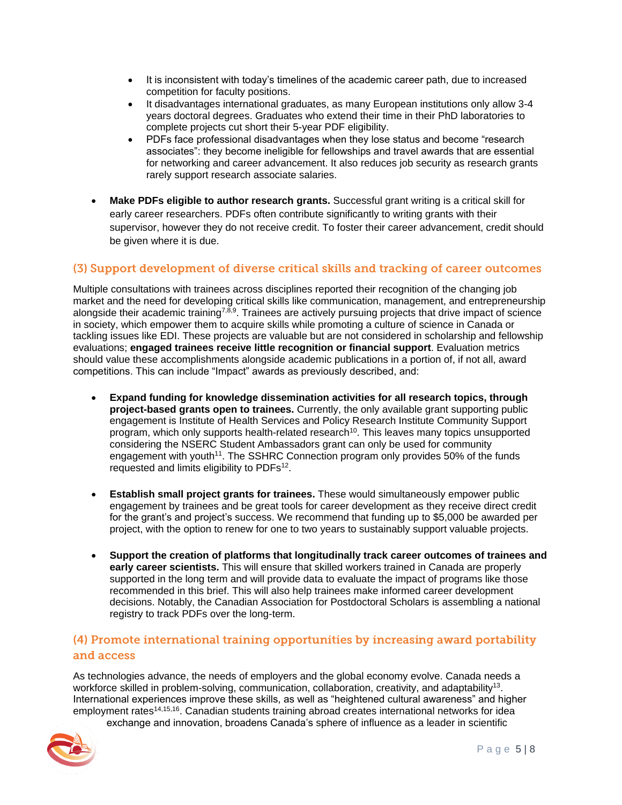- It is inconsistent with today's timelines of the academic career path, due to increased competition for faculty positions.
- It disadvantages international graduates, as many European institutions only allow 3-4 years doctoral degrees. Graduates who extend their time in their PhD laboratories to complete projects cut short their 5-year PDF eligibility.
- PDFs face professional disadvantages when they lose status and become "research associates": they become ineligible for fellowships and travel awards that are essential for networking and career advancement. It also reduces job security as research grants rarely support research associate salaries.
- **Make PDFs eligible to author research grants.** Successful grant writing is a critical skill for early career researchers. PDFs often contribute significantly to writing grants with their supervisor, however they do not receive credit. To foster their career advancement, credit should be given where it is due.

#### (3) Support development of diverse critical skills and tracking of career outcomes

Multiple consultations with trainees across disciplines reported their recognition of the changing job market and the need for developing critical skills like communication, management, and entrepreneurship alongside their academic training<sup>7,8,9</sup>. Trainees are actively pursuing projects that drive impact of science in society, which empower them to acquire skills while promoting a culture of science in Canada or tackling issues like EDI. These projects are valuable but are not considered in scholarship and fellowship evaluations; **engaged trainees receive little recognition or financial support**. Evaluation metrics should value these accomplishments alongside academic publications in a portion of, if not all, award competitions. This can include "Impact" awards as previously described, and:

- **Expand funding for knowledge dissemination activities for all research topics, through project-based grants open to trainees.** Currently, the only available grant supporting public engagement is Institute of Health Services and Policy Research Institute Community Support program, which only supports health-related research<sup>10</sup>. This leaves many topics unsupported considering the NSERC Student Ambassadors grant can only be used for community engagement with youth<sup>11</sup>. The SSHRC Connection program only provides 50% of the funds requested and limits eligibility to PDFs $12$ .
- **Establish small project grants for trainees.** These would simultaneously empower public engagement by trainees and be great tools for career development as they receive direct credit for the grant's and project's success. We recommend that funding up to \$5,000 be awarded per project, with the option to renew for one to two years to sustainably support valuable projects.
- **Support the creation of platforms that longitudinally track career outcomes of trainees and early career scientists.** This will ensure that skilled workers trained in Canada are properly supported in the long term and will provide data to evaluate the impact of programs like those recommended in this brief. This will also help trainees make informed career development decisions. Notably, the Canadian Association for Postdoctoral Scholars is assembling a national registry to track PDFs over the long-term.

#### (4) Promote international training opportunities by increasing award portability and access

As technologies advance, the needs of employers and the global economy evolve. Canada needs a workforce skilled in problem-solving, communication, collaboration, creativity, and adaptability<sup>13</sup>. International experiences improve these skills, as well as "heightened cultural awareness" and higher employment rates<sup>14,15,16</sup>. Canadian students training abroad creates international networks for idea exchange and innovation, broadens Canada's sphere of influence as a leader in scientific

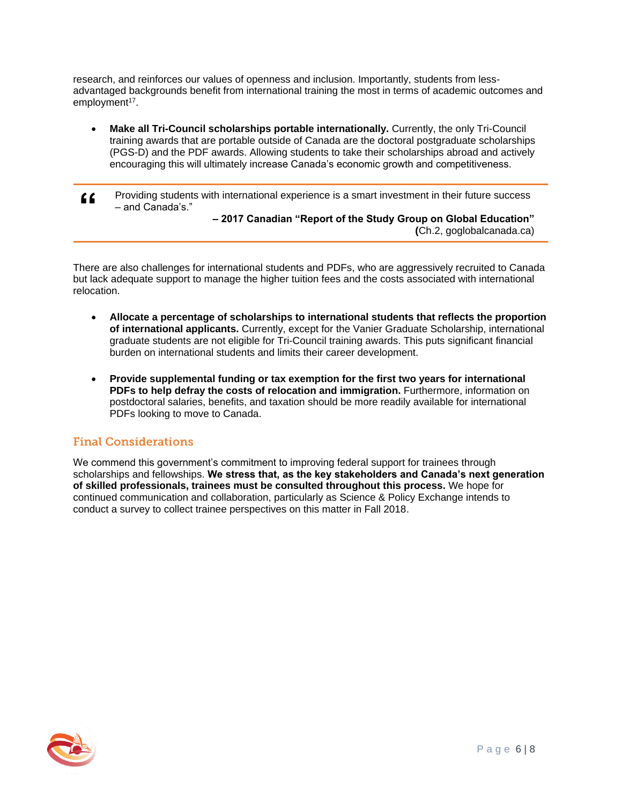research, and reinforces our values of openness and inclusion. Importantly, students from lessadvantaged backgrounds benefit from international training the most in terms of academic outcomes and employment<sup>17</sup>.

- **Make all Tri-Council scholarships portable internationally.** Currently, the only Tri-Council training awards that are portable outside of Canada are the doctoral postgraduate scholarships (PGS-D) and the PDF awards. Allowing students to take their scholarships abroad and actively encouraging this will ultimately increase Canada's economic growth and competitiveness.
- **"** Providing students with international experience is a smart investment in their future success – and Canada's."

**– 2017 Canadian "Report of the Study Group on Global Education" (**Ch.2, goglobalcanada.ca)

There are also challenges for international students and PDFs, who are aggressively recruited to Canada but lack adequate support to manage the higher tuition fees and the costs associated with international relocation.

- **Allocate a percentage of scholarships to international students that reflects the proportion of international applicants.** Currently, except for the Vanier Graduate Scholarship, international graduate students are not eligible for Tri-Council training awards. This puts significant financial burden on international students and limits their career development.
- **Provide supplemental funding or tax exemption for the first two years for international PDFs to help defray the costs of relocation and immigration.** Furthermore, information on postdoctoral salaries, benefits, and taxation should be more readily available for international PDFs looking to move to Canada.

## **Final Considerations**

We commend this government's commitment to improving federal support for trainees through scholarships and fellowships. **We stress that, as the key stakeholders and Canada's next generation of skilled professionals, trainees must be consulted throughout this process.** We hope for continued communication and collaboration, particularly as Science & Policy Exchange intends to conduct a survey to collect trainee perspectives on this matter in Fall 2018.

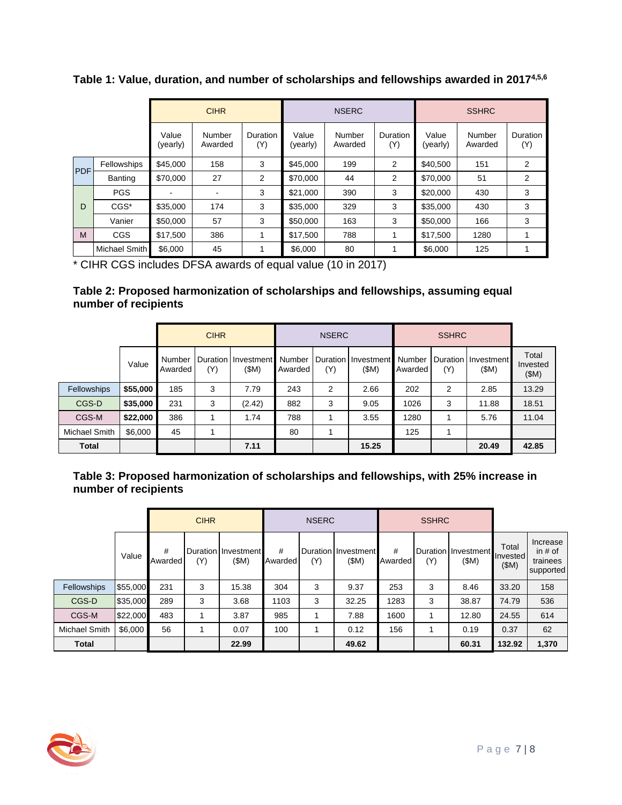CIHR NSERC SSHRC Value (yearly) Number Awarded Duration (Y) Value (yearly) Number Awarded Duration (Y) Value (yearly) Number Awarded Duration (Y) PDF Fellowships \$45,000 | 158 | 3 \$45,000 | 199 | 2 \$40,500 | 151 | 2 Banting \$70,000 | 27 | 2 | \$70,000 | 44 | 2 | \$70,000 | 51 | 2 D PGS | - | - | 3 |\$21,000 | 390 | 3 |\$20,000 | 430 | 3 CGS\* |\$35,000 | 174 | 3 |\$35,000 | 329 | 3 |\$35,000 | 430 | 3 Vanier \$50,000 | 57 | 3 |\$50,000 | 163 | 3 |\$50,000 | 166 | 3 M | CGS | \$17,500 | 386 | 1 | \$17,500 | 788 | 1 | \$17,500 | 1280 | 1 Michael Smith \$6,000 45 1 \$6,000 80 1 \$6,000 125 1

**Table 1: Value, duration, and number of scholarships and fellowships awarded in 20174,5,6**

\* CIHR CGS includes DFSA awards of equal value (10 in 2017)

#### **Table 2: Proposed harmonization of scholarships and fellowships, assuming equal number of recipients**

|                    |          | <b>CIHR</b>       |     |                               | <b>NSERC</b>      |     |                                       |         |     |                               |                           |
|--------------------|----------|-------------------|-----|-------------------------------|-------------------|-----|---------------------------------------|---------|-----|-------------------------------|---------------------------|
|                    | Value    | Number<br>Awarded | (Y) | Duration   Investment<br>(SM) | Number<br>Awarded | (Y) | Duration I Investment Number<br>(\$M) | Awarded | (Y) | Duration   Investment<br>(SM) | Total<br>Invested<br>(SM) |
| <b>Fellowships</b> | \$55,000 | 185               | 3   | 7.79                          | 243               | 2   | 2.66                                  | 202     | 2   | 2.85                          | 13.29                     |
| CGS-D              | \$35,000 | 231               | 3   | (2.42)                        | 882               | 3   | 9.05                                  | 1026    | 3   | 11.88                         | 18.51                     |
| CGS-M              | \$22,000 | 386               |     | 1.74                          | 788               |     | 3.55                                  | 1280    |     | 5.76                          | 11.04                     |
| Michael Smith      | \$6,000  | 45                |     |                               | 80                |     |                                       | 125     |     |                               |                           |
| <b>Total</b>       |          |                   |     | 7.11                          |                   |     | 15.25                                 |         |     | 20.49                         | 42.85                     |

#### **Table 3: Proposed harmonization of scholarships and fellowships, with 25% increase in number of recipients**

|                      |          | <b>CIHR</b>  |     |                               | <b>NSERC</b> |     |                               |              | <b>SSHRC</b> |                             |                                  |                                                |
|----------------------|----------|--------------|-----|-------------------------------|--------------|-----|-------------------------------|--------------|--------------|-----------------------------|----------------------------------|------------------------------------------------|
|                      | Value    | #<br>Awarded | (Y) | Duration I Investment<br>(SM) | #<br>Awarded | (Y) | Duration I Investment<br>(SM) | #<br>Awarded | (Y)          | Duration Investment<br>(SM) | Total<br><b>Invested</b><br>(SM) | Increase<br>in $#$ of<br>trainees<br>supported |
| <b>Fellowships</b>   | \$55,000 | 231          | 3   | 15.38                         | 304          | 3   | 9.37                          | 253          | 3            | 8.46                        | 33.20                            | 158                                            |
| CGS-D                | \$35,000 | 289          | 3   | 3.68                          | 1103         | 3   | 32.25                         | 1283         | 3            | 38.87                       | 74.79                            | 536                                            |
| CGS-M                | \$22,000 | 483          |     | 3.87                          | 985          |     | 7.88                          | 1600         |              | 12.80                       | 24.55                            | 614                                            |
| <b>Michael Smith</b> | \$6,000  | 56           |     | 0.07                          | 100          |     | 0.12                          | 156          |              | 0.19                        | 0.37                             | 62                                             |
| <b>Total</b>         |          |              |     | 22.99                         |              |     | 49.62                         |              |              | 60.31                       | 132.92                           | 1,370                                          |